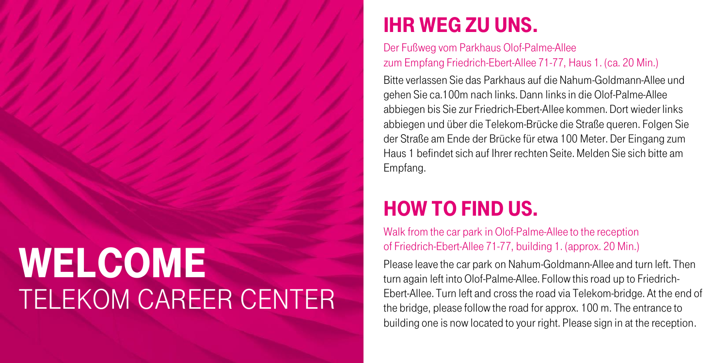## **WELCOME** Telekom Career Center

## Ihr Weg zu uns.

## Der Fußweg vom Parkhaus Olof-Palme-Allee zum Empfang Friedrich-Ebert-Allee 71-77, Haus 1. (ca. 20 Min.)

Bitte verlassen Sie das Parkhaus auf die Nahum-Goldmann-Allee und gehen Sie ca.100m nach links. Dann links in die Olof-Palme-Allee abbiegen bis Sie zur Friedrich-Ebert-Allee kommen. Dort wieder links abbiegen und über die Telekom-Brücke die Straße queren. Folgen Sie der Straße am Ende der Brücke für etwa 100 Meter. Der Eingang zum Haus 1 befindet sich auf Ihrer rechten Seite.Melden Sie sich bitte am Empfang.

## How to find us.

Walk from the car park in Olof-Palme-Allee to the reception of Friedrich-Ebert-Allee 71-77, building 1. (approx. 20 Min.)

Please leave the car park on Nahum-Goldmann-Allee and turn left. Then turn again left into Olof-Palme-Allee. Follow this road up to Friedrich-Ebert-Allee. Turn left and cross the road via Telekom-bridge. At the end of the bridge, please follow the road for approx. 100 m. The entrance to building one is now located to your right. Please sign in at the reception.